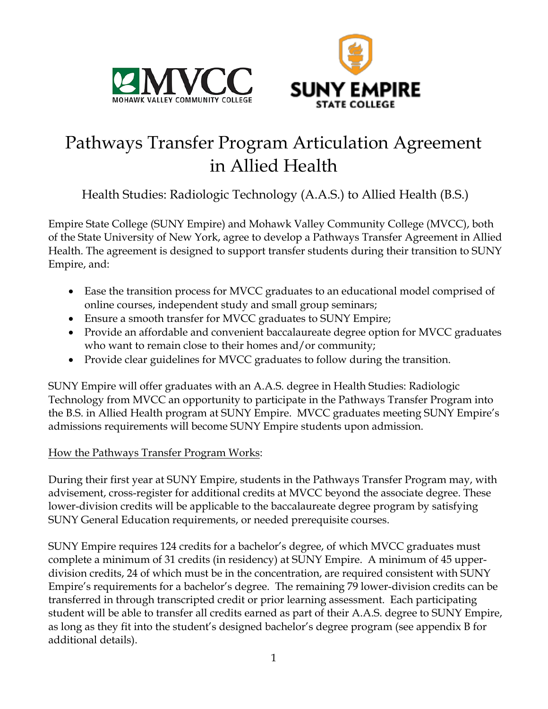



# Pathways Transfer Program Articulation Agreement in Allied Health

Health Studies: Radiologic Technology (A.A.S.) to Allied Health (B.S.)

Empire State College (SUNY Empire) and Mohawk Valley Community College (MVCC), both of the State University of New York, agree to develop a Pathways Transfer Agreement in Allied Health. The agreement is designed to support transfer students during their transition to SUNY Empire, and:

- Ease the transition process for MVCC graduates to an educational model comprised of online courses, independent study and small group seminars;
- Ensure a smooth transfer for MVCC graduates to SUNY Empire;
- Provide an affordable and convenient baccalaureate degree option for MVCC graduates who want to remain close to their homes and/or community;
- Provide clear guidelines for MVCC graduates to follow during the transition.

SUNY Empire will offer graduates with an A.A.S. degree in Health Studies: Radiologic Technology from MVCC an opportunity to participate in the Pathways Transfer Program into the B.S. in Allied Health program at SUNY Empire. MVCC graduates meeting SUNY Empire's admissions requirements will become SUNY Empire students upon admission.

## How the Pathways Transfer Program Works:

During their first year at SUNY Empire, students in the Pathways Transfer Program may, with advisement, cross-register for additional credits at MVCC beyond the associate degree. These lower-division credits will be applicable to the baccalaureate degree program by satisfying SUNY General Education requirements, or needed prerequisite courses.

SUNY Empire requires 124 credits for a bachelor's degree, of which MVCC graduates must complete a minimum of 31 credits (in residency) at SUNY Empire. A minimum of 45 upperdivision credits, 24 of which must be in the concentration, are required consistent with SUNY Empire's requirements for a bachelor's degree. The remaining 79 lower-division credits can be transferred in through transcripted credit or prior learning assessment. Each participating student will be able to transfer all credits earned as part of their A.A.S. degree to SUNY Empire, as long as they fit into the student's designed bachelor's degree program (see appendix B for additional details).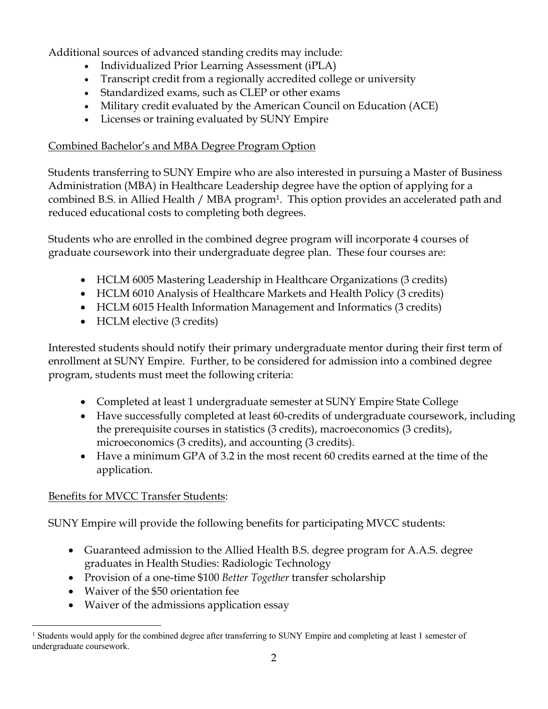Additional sources of advanced standing credits may include:

- Individualized Prior Learning Assessment (iPLA)
- Transcript credit from a regionally accredited college or university
- Standardized exams, such as CLEP or other exams
- Military credit evaluated by the American Council on Education (ACE)
- Licenses or training evaluated by SUNY Empire

## Combined Bachelor's and MBA Degree Program Option

Students transferring to SUNY Empire who are also interested in pursuing a Master of Business Administration (MBA) in Healthcare Leadership degree have the option of applying for a combined B.S. in Allied Health / MBA program<sup>1</sup>. This option provides an accelerated path and reduced educational costs to completing both degrees.

Students who are enrolled in the combined degree program will incorporate 4 courses of graduate coursework into their undergraduate degree plan. These four courses are:

- HCLM 6005 Mastering Leadership in Healthcare Organizations (3 credits)
- HCLM 6010 Analysis of Healthcare Markets and Health Policy (3 credits)
- HCLM 6015 Health Information Management and Informatics (3 credits)
- HCLM elective (3 credits)

Interested students should notify their primary undergraduate mentor during their first term of enrollment at SUNY Empire. Further, to be considered for admission into a combined degree program, students must meet the following criteria:

- Completed at least 1 undergraduate semester at SUNY Empire State College
- Have successfully completed at least 60-credits of undergraduate coursework, including the prerequisite courses in statistics (3 credits), macroeconomics (3 credits), microeconomics (3 credits), and accounting (3 credits).
- Have a minimum GPA of 3.2 in the most recent 60 credits earned at the time of the application.

## Benefits for MVCC Transfer Students:

SUNY Empire will provide the following benefits for participating MVCC students:

- Guaranteed admission to the Allied Health B.S. degree program for A.A.S. degree graduates in Health Studies: Radiologic Technology
- Provision of a one-time \$100 *Better Together* transfer scholarship
- Waiver of the \$50 orientation fee
- Waiver of the admissions application essay

<sup>&</sup>lt;sup>1</sup> Students would apply for the combined degree after transferring to SUNY Empire and completing at least 1 semester of undergraduate coursework.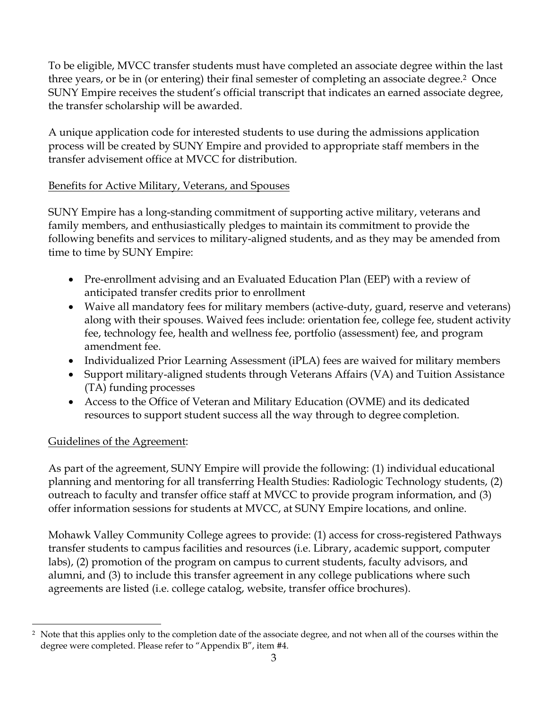To be eligible, MVCC transfer students must have completed an associate degree within the last three years, or be in (or entering) their final semester of completing an associate degree.2 Once SUNY Empire receives the student's official transcript that indicates an earned associate degree, the transfer scholarship will be awarded.

A unique application code for interested students to use during the admissions application process will be created by SUNY Empire and provided to appropriate staff members in the transfer advisement office at MVCC for distribution.

## Benefits for Active Military, Veterans, and Spouses

SUNY Empire has a long-standing commitment of supporting active military, veterans and family members, and enthusiastically pledges to maintain its commitment to provide the following benefits and services to military-aligned students, and as they may be amended from time to time by SUNY Empire:

- Pre-enrollment advising and an Evaluated Education Plan (EEP) with a review of anticipated transfer credits prior to enrollment
- Waive all mandatory fees for military members (active-duty, guard, reserve and veterans) along with their spouses. Waived fees include: orientation fee, college fee, student activity fee, technology fee, health and wellness fee, portfolio (assessment) fee, and program amendment fee.
- Individualized Prior Learning Assessment (iPLA) fees are waived for military members
- Support military-aligned students through Veterans Affairs (VA) and Tuition Assistance (TA) funding processes
- Access to the Office of Veteran and Military Education (OVME) and its dedicated resources to support student success all the way through to degree completion.

## Guidelines of the Agreement:

As part of the agreement, SUNY Empire will provide the following: (1) individual educational planning and mentoring for all transferring Health Studies: Radiologic Technology students, (2) outreach to faculty and transfer office staff at MVCC to provide program information, and (3) offer information sessions for students at MVCC, at SUNY Empire locations, and online.

Mohawk Valley Community College agrees to provide: (1) access for cross-registered Pathways transfer students to campus facilities and resources (i.e. Library, academic support, computer labs), (2) promotion of the program on campus to current students, faculty advisors, and alumni, and (3) to include this transfer agreement in any college publications where such agreements are listed (i.e. college catalog, website, transfer office brochures).

 $\overline{a}$ <sup>2</sup> Note that this applies only to the completion date of the associate degree, and not when all of the courses within the degree were completed. Please refer to "Appendix B", item #4.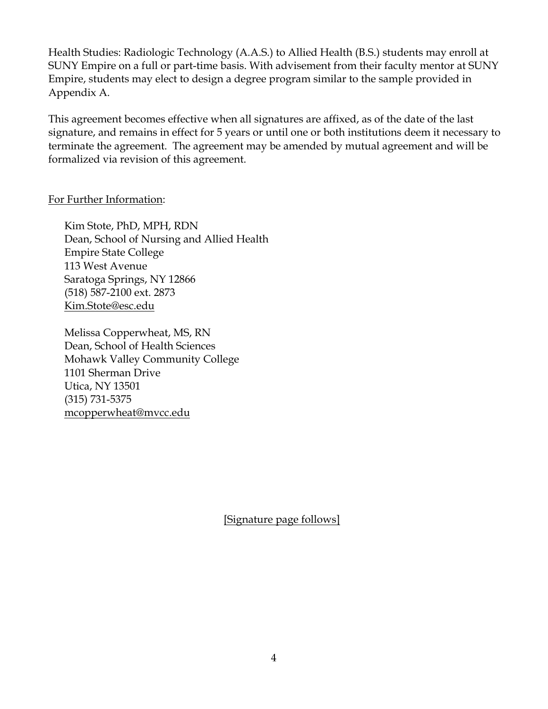Health Studies: Radiologic Technology (A.A.S.) to Allied Health (B.S.) students may enroll at SUNY Empire on a full or part-time basis. With advisement from their faculty mentor at SUNY Empire, students may elect to design a degree program similar to the sample provided in Appendix A.

This agreement becomes effective when all signatures are affixed, as of the date of the last signature, and remains in effect for 5 years or until one or both institutions deem it necessary to terminate the agreement. The agreement may be amended by mutual agreement and will be formalized via revision of this agreement.

#### For Further Information:

Kim Stote, PhD, MPH, RDN Dean, School of Nursing and Allied Health Empire State College 113 West Avenue Saratoga Springs, NY 12866 (518) 587-2100 ext. 2873 Kim.Stote@esc.edu

Melissa Copperwheat, MS, RN Dean, School of Health Sciences Mohawk Valley Community College 1101 Sherman Drive Utica, NY 13501 (315) 731-5375 mcopperwheat@mvcc.edu

[Signature page follows]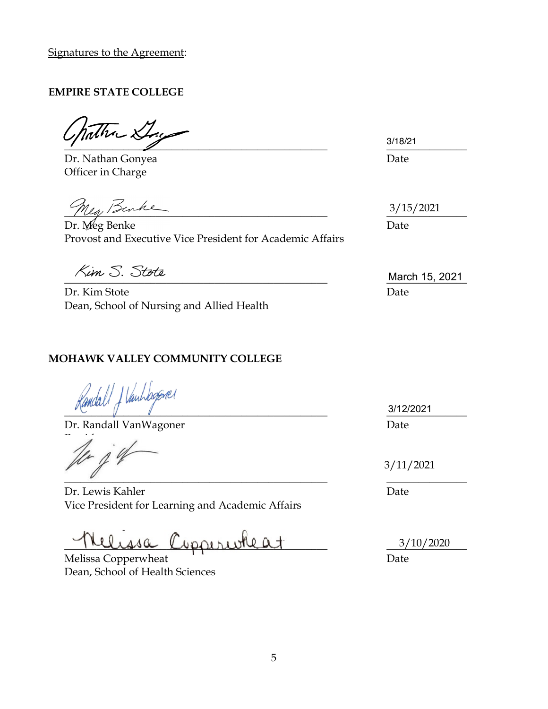Signatures to the Agreement:

#### **EMPIRE STATE COLLEGE**

atha Stag  $\frac{3/10/21}{2}$ 

Dr. Nathan Gonyea **Date** Officer in Charge

 $\frac{3}{13/13/2021}$ 

Dr. Meg Benke Date Provost and Executive Vice President for Academic Affairs

Dr. Kim Stote Date Dean, School of Nursing and Allied Health

#### **MOHAWK VALLEY COMMUNITY COLLEGE**

/ Vanhagemer  $\frac{3}{1222021}$ 

Dr. Randall VanWagoner Date

 $\overline{1}$  $\overline{a}$ 

Dr. Lewis Kahler Date Vice President for Learning and Academic Affairs

elissa Cippiriokat

Melissa Copperwheat Date Dean, School of Health Sciences

3/18/21

3/15/2021

 $\frac{1}{2}$  March 15, 2021

3/12/2021

3/11/2021

3/10/2020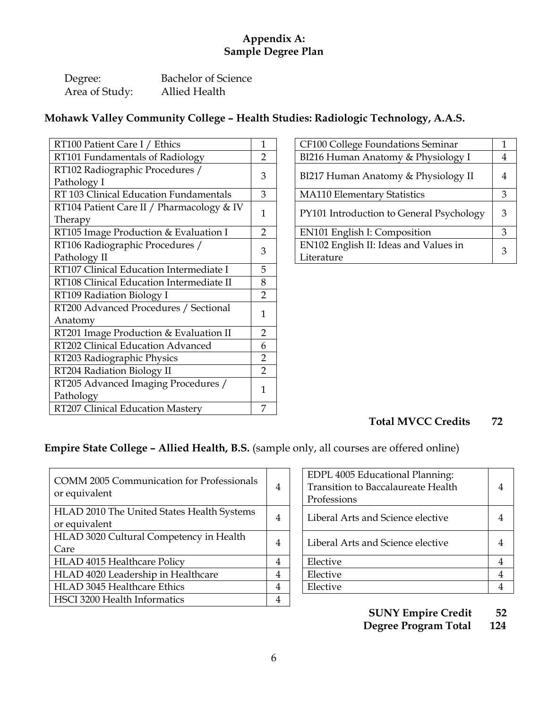#### **Appendix A: Sample Degree Plan**

| Degree:        | Bachelor of Science |
|----------------|---------------------|
| Area of Study: | Allied Health       |

## **Mohawk Valley Community College – Health Studies: Radiologic Technology, A.A.S.**

| RT100 Patient Care I / Ethics                        | 1              | CF100 College Foundations Seminar<br>$\mathbf{1}$        |
|------------------------------------------------------|----------------|----------------------------------------------------------|
| RT101 Fundamentals of Radiology                      | $\overline{2}$ | BI216 Human Anatomy & Physiology I<br>4                  |
| RT102 Radiographic Procedures /<br>Pathology I       | 3              | BI217 Human Anatomy & Physiology II<br>4                 |
| RT 103 Clinical Education Fundamentals               | 3              | <b>MA110 Elementary Statistics</b><br>3                  |
| RT104 Patient Care II / Pharmacology & IV<br>Therapy | 1              | 3<br>PY101 Introduction to General Psychology            |
| RT105 Image Production & Evaluation I                | $\overline{2}$ | EN101 English I: Composition<br>3                        |
| RT106 Radiographic Procedures /<br>Pathology II      | 3              | EN102 English II: Ideas and Values in<br>3<br>Literature |
| RT107 Clinical Education Intermediate I              | 5              |                                                          |
| RT108 Clinical Education Intermediate II             | 8              |                                                          |
| RT109 Radiation Biology I                            | $\overline{2}$ |                                                          |
| RT200 Advanced Procedures / Sectional<br>Anatomy     | 1              |                                                          |
| RT201 Image Production & Evaluation II               | $\overline{2}$ |                                                          |
| RT202 Clinical Education Advanced                    | 6              |                                                          |
| RT203 Radiographic Physics                           | 2              |                                                          |
| RT204 Radiation Biology II                           | $\overline{2}$ |                                                          |
| RT205 Advanced Imaging Procedures /<br>Pathology     | 1              |                                                          |
| RT207 Clinical Education Mastery                     | 7              |                                                          |

| CF100 College Foundations Seminar                   |  |  |
|-----------------------------------------------------|--|--|
| BI216 Human Anatomy & Physiology I                  |  |  |
| BI217 Human Anatomy & Physiology II                 |  |  |
| <b>MA110 Elementary Statistics</b>                  |  |  |
| PY101 Introduction to General Psychology            |  |  |
| EN101 English I: Composition                        |  |  |
| EN102 English II: Ideas and Values in<br>Literature |  |  |

#### **Total MVCC Credits 72**

#### **Empire State College – Allied Health, B.S.** (sample only, all courses are offered online)

| <b>COMM 2005 Communication for Professionals</b><br>or equivalent | 4 | EDPL 4005 Educational Planning:<br><b>Transition to Baccalaureate Health</b><br>Professions | 4              |
|-------------------------------------------------------------------|---|---------------------------------------------------------------------------------------------|----------------|
| HLAD 2010 The United States Health Systems                        | 4 | Liberal Arts and Science elective                                                           | 4              |
| or equivalent                                                     |   |                                                                                             |                |
| HLAD 3020 Cultural Competency in Health                           | 4 | Liberal Arts and Science elective                                                           | $\overline{4}$ |
| Care                                                              |   |                                                                                             |                |
| HLAD 4015 Healthcare Policy                                       | 4 | Elective                                                                                    | 4              |
| HLAD 4020 Leadership in Healthcare                                | 4 | Elective                                                                                    | 4              |
| <b>HLAD 3045 Healthcare Ethics</b>                                | 4 | Elective                                                                                    | 4              |
| HSCI 3200 Health Informatics                                      | 4 |                                                                                             |                |

| EDPL 4005 Educational Planning:<br><b>Transition to Baccalaureate Health</b><br>Professions |  |
|---------------------------------------------------------------------------------------------|--|
| Liberal Arts and Science elective                                                           |  |
| Liberal Arts and Science elective                                                           |  |
| Elective                                                                                    |  |
| Elective                                                                                    |  |
| Elective                                                                                    |  |

## **SUNY Empire Credit 52**

## **Degree Program Total 124**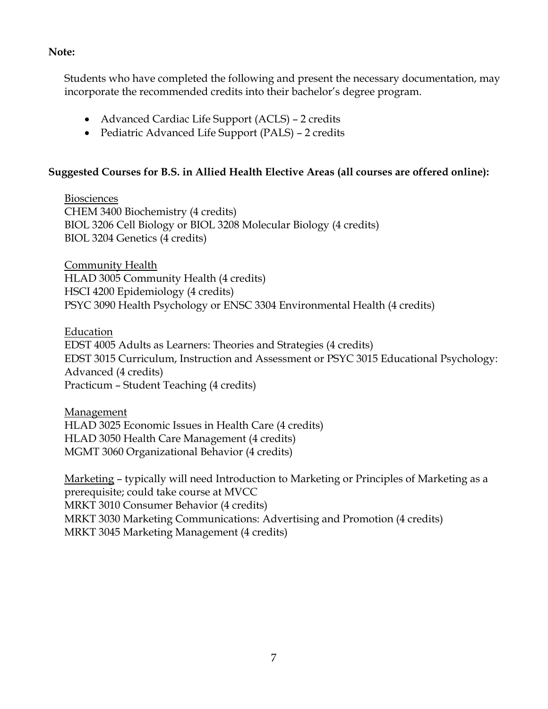#### **Note:**

Students who have completed the following and present the necessary documentation, may incorporate the recommended credits into their bachelor's degree program.

- Advanced Cardiac Life Support (ACLS) 2 credits
- Pediatric Advanced Life Support (PALS) 2 credits

#### **Suggested Courses for B.S. in Allied Health Elective Areas (all courses are offered online):**

**Biosciences** CHEM 3400 Biochemistry (4 credits) BIOL 3206 Cell Biology or BIOL 3208 Molecular Biology (4 credits) BIOL 3204 Genetics (4 credits)

**Community Health** HLAD 3005 Community Health (4 credits) HSCI 4200 Epidemiology (4 credits) PSYC 3090 Health Psychology or ENSC 3304 Environmental Health (4 credits)

#### Education

EDST 4005 Adults as Learners: Theories and Strategies (4 credits) EDST 3015 Curriculum, Instruction and Assessment or PSYC 3015 Educational Psychology: Advanced (4 credits) Practicum – Student Teaching (4 credits)

Management HLAD 3025 Economic Issues in Health Care (4 credits) HLAD 3050 Health Care Management (4 credits) MGMT 3060 Organizational Behavior (4 credits)

Marketing – typically will need Introduction to Marketing or Principles of Marketing as a prerequisite; could take course at MVCC MRKT 3010 Consumer Behavior (4 credits) MRKT 3030 Marketing Communications: Advertising and Promotion (4 credits) MRKT 3045 Marketing Management (4 credits)